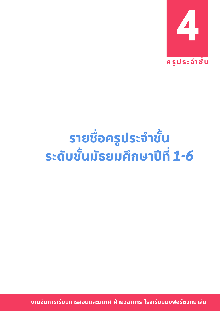

## **%;1 9 % /%>&; { `f %> . \$ `1 0;/ v uc ` ` f**

**(;&` ;%?%1u;%-9@,>?s 3;d 1's ;;% C%(?%1u(49%m 's 1;,`1**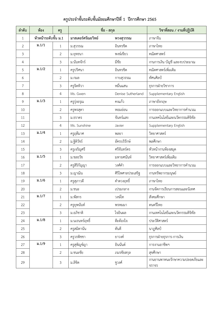| ลำดับ          | ท้อง                     | ครู            | ชื่อ - สกุล        |                   | วิชาที่สอน / งานที่ปฏิบัติ              |
|----------------|--------------------------|----------------|--------------------|-------------------|-----------------------------------------|
| 1              | หัวหน้าระดับชั้น ม.1     |                | มาสเตอร์ศรัณยวิทย์ | พวงสุวรรณ         | ภาษาจีน                                 |
| $\overline{2}$ | ม. $1/1$<br>$\mathbf{1}$ |                | ม.สุวรรณ           | อินทรชิต          | ภาษาไทย                                 |
| 3              |                          | $\overline{2}$ | ม.ยุทธนา           | พงษ์เขียว         | คณิตศาสตร์                              |
| $\overline{4}$ |                          | 3              | ม.นันทจักร์        | มีชัย             | งานการเงิน บัญชี และงบประมาณ            |
| 5              | ม. $1/2$                 | 1              | ครูปริศนา          | อินทรชิต          | คณิตศาสตร์เพิ่มเติม                     |
| 6              |                          | $\overline{2}$ | ม.กมล              | กาบสุวรรณ         | ทัศนศิลป์                               |
| $\overline{7}$ |                          | $\mathfrak{Z}$ | ครูจิตทิวา         | หมื่นแสน          | ธุรการฝ่ายวิชาการ                       |
| 8              |                          | 4              | Ms. Gwen           | Denise Sutherland | Supplementary English                   |
| 9              | 31.1/3                   | $\mathbf{1}$   | ครูรุ่งอรุณ        | คงแก้ว            | ภาษาอังกฤษ                              |
| 10             |                          | $\overline{2}$ | ครูพรสุดา          | หอมอ่อน           | การออกแบบและวิทยาการคำนวณ               |
| 11             |                          | 3              | ม.ธราดร            | จันทร์แสง         | งานเทคโนโลยีและนวัตกรรมดิจิทัล          |
| 12             |                          | $\overline{4}$ | Ms. Sunshine       | Javier            | Supplementary English                   |
| 13             | 31.1/4                   | 1              | ครูฤดีมาศ          | พลยา              | วิทยาศาสตร์                             |
| 14             |                          | $\overline{2}$ | ม.ฐิติวัชร์        | อัครบริรักษ์      | พลศึกษา                                 |
| 15             |                          | 3              | ครูเจริญศรี        | ศรีจันทร์ดร       | หัวหน้างานห้องสมุด                      |
| 16             | ม. $1/5$                 | $\mathbf{1}$   | ม.ชลธวัช           | มหายศนันท์        | วิทยาศาสตร์เพิ่มเติม                    |
| 17             |                          | $\overline{2}$ | ครูสิริกัญญา       | วงศ์คำ            | การออกแบบและวิทยาการคำนวณ               |
| 18             |                          | 3              | ม.ญาณิน            | ศิริไพศาลประเสริฐ | งานทรัพยากรมนุษย์                       |
| 19             | 31.1/6                   | $\mathbf{1}$   | ครูสุภาวดี         | คำดวงฤทธิ์        | ภาษาไทย                                 |
| 20             |                          | 2              | ม.ชนะ              | เปรมกลาง          | งานจัดการเรียนการสอนและนิเทศ            |
| 21             | ม. $1/7$                 | $\mathbf{1}$   | ม.พัสกร            | วงษ์โท            | สังคมศึกษา                              |
| 22             |                          | $\overline{2}$ | ครูยุพนันท์        | พรหมมา            | ดนตรีไทย                                |
| 23             |                          | 3              | ม.อภิชาติ          | ใจอินผล           | งานเทคโนโลยีและนวัตกรรมดิจิทัล          |
| 24             | ม. $1/8$                 | $\mathbf{1}$   | ม.นเรนทร์ฤทธิ์     | ต๊ะต้องใจ         | ประวัติศาสตร์                           |
| 25             |                          | $\mathbf{2}$   | ครูสมิตานัน        | ตันดี             | นาฏศิลป์                                |
| 26             |                          | $\mathfrak z$  | ครูวรพิชชา         | ยาวงค์            | ธุรการฝ่ายธุรการ-การเงิน                |
| 27             | 31.1/9<br>$\mathbf 1$    |                | ครูสุพิญช์ญา       | อินนันต์          | การงานอาชีพฯ                            |
| 28             |                          | $\sqrt{2}$     | ม.ชนะชัย           | ภมรชัยสกุล        | สุขศึกษา                                |
| 29             |                          | $\mathfrak{Z}$ | ม.ลิขิต            | ชูวงศ์            | งานยานพาหนะรักษาความปลอดภัยและ<br>จราจร |

## **ÙøĎðøąÝĞćßĆĚîøąéĆïßĆĚîöĆí÷öýċÖþćðŘìĊęǰ1 ðŘÖćøýċÖþćǰ2565**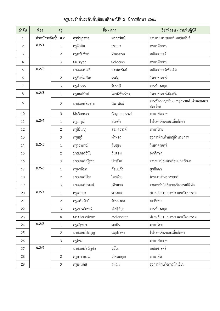| ้ ครูประจำชั้นระดับชั้นมัธยมศึกษาปีที่ 2  ปีการศึกษา 2565 |  |
|-----------------------------------------------------------|--|
|-----------------------------------------------------------|--|

| ลำดับ          | ท้อง                 | ครู            | ชื่อ - สกุล     |               | วิชาที่สอน / งานที่ปฏิบัติ                       |
|----------------|----------------------|----------------|-----------------|---------------|--------------------------------------------------|
| $\mathbf{1}$   | หัวหน้าระดับชั้น ม.2 |                | ครูชัชฎาพร      | มาลารัตน์     | งานแนะแนวและวิเทศสัมพันธ์                        |
| 2              | ม. $2/1$             | 1              | ครูจัสมิน       | วรรณา         | ภาษาอังกฤษ                                       |
| $\mathfrak{Z}$ |                      | $\overline{2}$ | ครูหทัยทิพย์    | จำแนกรถ       | คณิตศาสตร์                                       |
| $\overline{4}$ |                      | 3              | Mr.Bryan        | Golocino      | ภาษาอังกฤษ                                       |
| 5              | ม. $2/2$             | $\mathbf{1}$   | มาสเตอร์เมธี    | สงวนทรัพย์    | คณิตศาสตร์เพิ่มเติม                              |
| 6              |                      | $\overline{2}$ | ครูธันย์ณภัทร   | วรภัฏ         | วิทยาศาสตร์                                      |
| $\overline{7}$ |                      | 3              | ครูลำจวน        | รัตนบุรี      | งานห้องสมุด                                      |
| 8              | 31.2/3               | $\mathbf{1}$   | ครูมนต์รักษ์    | โชคพิพัฒน์พร  | วิทยาศาสตร์เพิ่มเติม                             |
| 9              |                      | $\overline{2}$ | มาสเตอร์สมชาย   | นิพาพันธ์     | งานพัฒนาบุคลิกภาพสู่ความสำเร็จและสภา<br>นักเรียน |
| 10             |                      | 3              | Mr.Roman        | Gogoberishvii | ภาษาอังกฤษ                                       |
| 11             | 31.2/4               | 1              | ครูวารุณี       | ธิจิตตัง      | โรโบติกส์และสะเต็มศึกษา                          |
| 12             |                      | $\overline{2}$ | ครูสิรินาฎ      | จอมสวรรค์     | ภาษาไทย                                          |
| 13             |                      | 3              | ครูมยุรี        | ทำทอง         | ธุรการฝ่ายสำนักผู้อำนวยการ                       |
| 14             | 31.2/5               | $\mathbf{1}$   | ครูวราภรณ์      | สืบสุยะ       | วิทยาศาสตร์                                      |
| 15             |                      | $\overline{2}$ | มาสเตอร์วินัย   | ถิ่นจอม       | พลศึกษา                                          |
| 16             |                      | 3              | มาสเตอร์ณัฐพล   | ปารมีธง       | งานทะเบียนนักเรียนและวัดผล                       |
| 17             | 31.2/6               | $\mathbf{1}$   | ครูพรพิมล       | ก้อนแก้ว      | สุขศึกษา                                         |
| 18             |                      | 2              | มาสเตอร์ปิยะ    | ไชยอ้าย       | โครงงานวิทยาศาสตร์                               |
| 19             |                      | 3              | มาสเตอร์สุพจน์  | เทียมยศ       | งานเทคโนโลยีและนวัตกรรมดิจิทัล                   |
| 20             | ม. $2/7$             | $\mathbf{1}$   | ครูอาสยา        | พรหมศร        | สังคมศึกษา ศาสนา และวัฒนธรรม                     |
| 21             |                      | $\overline{2}$ | ครูเครือวัลย์   | รัตนมงคล      | พลศึกษา                                          |
| 22             |                      | 3              | ครูเยาวลักษณ์   | เลิศฐิติกุล   | งานห้องสมุด                                      |
| 23             |                      | 4              | Ms.Claudilene   | Melendrez     | สังคมศึกษา ศาสนา และวัฒนธรรม                     |
| 24             | ม. $2/8$             | $\mathbf{1}$   | ครูณัฐชยา       | พอพิน         | ภาษาไทย                                          |
| 25             |                      | $\overline{2}$ | มาสเตอร์ปริญญา  | นฤประชา       | โรโบติกส์และสะเต็มศึกษา                          |
| 26             |                      | $\mathfrak{Z}$ | ครูใหม่         |               | ภาษาอังกฤษ                                       |
| 27             | ม. $2/9$             | $\mathbf{1}$   | มาสเตอร์ขวัญชัย | แจ้ใจ         | คณิตศาสตร์                                       |
| 28             |                      | $\overline{2}$ | ครูดาราภรณ์     | เกิดนพคุณ     | ภาษาจีน                                          |
| 29             |                      | $\mathfrak{Z}$ | ครูนงนภัส       | สมณะ          | ธุรการฝ่ายกิจการนักเรียน                         |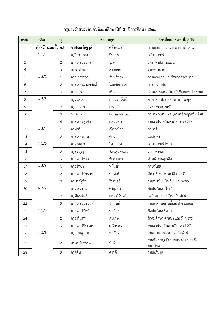| ลำดับ          | ท้อง                 | ครู            | ชื่อ - สกุล        |                | วิชาที่สอน / งานที่ปฏิบัติ                        |
|----------------|----------------------|----------------|--------------------|----------------|---------------------------------------------------|
| $\mathbf{1}$   | หัวหน้าระดับชั้น ม.3 |                | มาสเตอร์นัฐวุฒิ    | ศรีวิเชียร     | การออกแบบและวิทยาการคำนวณ                         |
| 2              | 3.3/1                | $\mathbf{1}$   | ครูวิลาวรรณ        | อินสุวรรณ      | คณิตศาสตร์                                        |
| 3              |                      | $\overline{2}$ | มาสเตอร์ธนกร       | จู่มดี         | วิทยาศาสตร์เพิ่มเติม                              |
| $\overline{4}$ |                      | $\mathfrak{Z}$ | ครูพวงไพร          | สายสกล         | งานพยาบาล                                         |
| 5              | 3.3/2                | $\mathbf{1}$   | ครูณุภาวรรณ        | จันทร์พรหม     | การออกแบบและวิทยาการคำนวณ                         |
| 6              |                      | $\overline{2}$ | มาสเตอร์มงคลศักดิ์ | ใหม่จันทร์แดง  | การงานอาชีพ                                       |
| $\overline{7}$ |                      | 3              | ครูศศิธร           | ตันดุ          | หัวหน้างานการเงิน บัญชีและงบประมาณ                |
| 8              | 3.3/3                | $\mathbf{1}$   | ครูจินตนา          | เปี่ยมชัยวัฒน์ | ภาษาต่างประเทศ (ภาษาอังกฤษ)                       |
| 9              |                      | $\overline{2}$ | ครูเจนจิรา         | ดวงแก้ว        | วิทยาศาสตร์/เคมี                                  |
| 10             |                      | 3              | Mr.Alvin           | Roxas Narciso  | ภาษาต่างประเทศ (ภาษาอังกฤษเพิ่มเติม)              |
| 11             |                      | $\sqrt{4}$     | มาสเตอร์สุรชัย     | แสนทอน         | งานเทคโนโลยีและนวัตกรรมดิจิทัล                    |
| 12             | 3.3/4                | $\mathbf{1}$   | ครูพัชรี           | กังวาลไกล      | ภาษาจีน                                           |
| 13             |                      | $\overline{2}$ | มาสเตอร์ผไท        | ชัยนำ          | พลศึกษา                                           |
| 14             | 3.3/5                | $\mathbf{1}$   | ครูอภิษฎา          | โพธิกลาง       | คณิตศาสตร์เพิ่มเติม                               |
| 15             |                      | $\overline{2}$ | ครูสุชัญญา         | รัตนสุนทรมณี   | วิทยาศาสตร์                                       |
| 16             |                      | 3              | มาสเตอร์พชร        | ชัยสงคราม      | หัวหน้างานลูกเสือ                                 |
| 17             | 3.3/6                | $\mathbf{1}$   | ครูวรัทยา          | หมั่นมั่ง      | ภาษาไทย                                           |
| 18             |                      | $\overline{2}$ | มาสเตอร์อำนวย      | นนท์ศรี        | สังคมศึกษา (ประวัติศาสตร์)                        |
| 19             |                      | $\mathfrak{Z}$ | ครูปาณัฐริล        | วินเทอร์       | งานทะเบียนนักเรียนและวัดผล                        |
| 20             | ม. $3/7$             | $\mathbf{1}$   | ครูวิไลวรรณ        | ศรีอุตทา       | ศิลปะ (ดนตรีไทย)                                  |
| 21             |                      | $\overline{2}$ | ครูทิพานันท์       | แสงศรีจันทร์   | สุขศึกษา / งานวิเทศสัมพันธ์                       |
| 22             |                      | $\mathfrak{Z}$ | มาสเตอร์อานนท์     | อินนันท์       | งานอาคารสถานที่และสิ่งแวดล้อม                     |
| 23             | 3.3/8                | $\mathbf{1}$   | มาสเตอร์อัสนี      | นกน้อย         | ศิลปะ (ดนตรีสากล)                                 |
| 24             |                      | $\overline{2}$ | ครูธารินทร์        | สุขเกษม        | สังคมศึกษา ศาสนา และวัฒนธรรม                      |
| 25             |                      | $\mathfrak{Z}$ | มาสเตอร์ธีระพงษ์   | มณีวรรณ        | งานเทคโนโลยีและนวัตกรรมดิจิทัล                    |
| 26             | 3.3/9                | $\mathbf{1}$   | ครูกนิษฐรินทร์     | พลศักดิ์       | งานแนะแนวและวิเทศสัมพันธ์                         |
| 27             |                      | $\mathbf{2}$   | ครูพรนับพรรณ       | ปันตี          | งานพัฒนาบุคลิกภาพแห่งความสำเร็จและ<br>สภานักเรียน |
| 28             |                      | $\mathfrak{Z}$ | ครูศศิน            | ดาวดี          | งานอภิบาล                                         |

## **ÙøĎðøąÝĞćßĆĚîøąéĆïßĆĚîöĆí÷öýċÖþćðŘìĊęǰ3 ðŘÖćøýċÖþćǰ2565**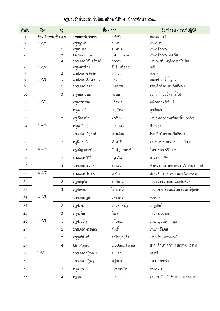## **ÙøĎðøąÝĞćßĆĚîøąéĆïßĆĚîöĆí÷öýċÖþćðŘìĊęǰ4 ðŘÖćøýċÖþćǰ2565**

| ลำดับ        | ท้อง                 | ครู            | ชื่อ - สกุล          |                 | วิชาที่สอน / งานที่ปฏิบัติ         |
|--------------|----------------------|----------------|----------------------|-----------------|------------------------------------|
| $\mathbf{1}$ | หัวหน้าระดับชั้น ม.4 |                | มาสเตอร์ปรัชญา       | ลาวิชัย         | คณิตศาสตร์                         |
| 2            | ม. $4/1$             | 1              | ครูชฎาพร             | สมนาม           | ภาษาไทย                            |
| 3            |                      | $\overline{2}$ | ครูมานิตา            | อินนวน          | ภาษาอังกฤษ                         |
| 4            |                      | $\mathfrak{Z}$ | Ms.Sunshine          | Balut Jarier    | ภาษาอังกฤษเพิ่มเติม                |
| 5            |                      | 4              | มาสเตอร์นิรันดร์พงค์ | ลากตา           | งานส่งเสริมพฤติกรรมนักเรียน        |
| 6            | ม. $4/2$             | $\mathbf{1}$   | ครูจันทร์จิรา        | ชัยอินทรีอาจ    | เคมี                               |
| 7            |                      | $\overline{2}$ | มาสเตอร์พิชิตชัย     | สุภาจีน         | ฟิสิกส์                            |
| 8            | 31.4/3               | $\mathbf{1}$   | มาสเตอร์ปริญญากร     | กุศล            | คณิตศาสตร์พื้นฐาน                  |
| 9            |                      | $\overline{2}$ | มาสเตอร์เดชา         | นั่นเปรย        | โรโบติกส์และสะเต็มศึกษา            |
| 10           |                      | $\mathfrak{Z}$ | ครูกมลวรรณ           | ทะนัน           | ธุรการฝ่ายบริหารทั่วไป             |
| 11           | 31.4/4               | $\mathbf{1}$   | ครูพรสวรรค์          | แก้ววงศ์        | คณิตศาสตร์เพิ่มเติม                |
| 12           |                      | $\overline{2}$ | ครูอัจฉรีย์          | บุญเรื่อง       | สุขศึกษา                           |
| 13           |                      | $\mathfrak{Z}$ | ครูเดือนเพ็ญ         | ตากันทะ         | งานอาคารสถานที่และสิ่งแวดล้อม      |
| 14           | 31.4/5               | $\mathbf{1}$   | ครูนงลักษณ์          | แอมบอส          | ชีววิทยา                           |
| 15           |                      | $\overline{2}$ | มาสเตอร์ณัฐพงศ์      | หอมอ่อน         | โรโบติกส์และสะเต็มศึกษา            |
| 16           |                      | $\mathfrak{Z}$ | ครูพิมพ์ลภัสร        | จันทร์ต๊ะ       | งานทะเบียนนักเรียนและวัดผล         |
| 17           | 31.4/6               | $\mathbf{1}$   | ครูเพ็ญสุภางค์       | สัมปุญญานนท์    | วิทยาศาสตร์ชีวภาพ                  |
| 18           |                      | $\overline{2}$ | มาสเตอร์นิวัติ       | อรุณวิไล        | การงานอาชีพ                        |
| 19           |                      | $\mathfrak{Z}$ | มาสเตอร์เสถียร       | ช่างเงิน        | หัวหน้างานยานพาหนะฯ/งานสระว่ายน้ำฯ |
| 20           | ม. $4/7$             | $\mathbf{1}$   | มาสเตอร์ประยูร       | ทาปัน           | สังคมศึกษา ศาสนา และวัฒนธรรม       |
| 21           |                      | $\overline{2}$ | ครูสมฤทัย            | ชัยพิมาน        | งานแนะแนวและวิเทศสัมพันธ์          |
| 22           |                      | 3              | ครูชนกกร             | ไชยวงค์คำ       | งานประชาสัมพันธ์และสัมพันธ์ชุมชน   |
| 23           | 31.4/8               | $\mathbf{1}$   | มาสเตอร์ภูมิ         | แพทย์คดี        | พลศึกษา                            |
| 24           |                      | $\overline{2}$ | ครูศิริพร            | สุรินทร์ศิริรัฐ | นาฏศิลป์                           |
| 25           |                      | $\mathfrak{Z}$ | ครูกฤติมา            | ทิพวัง          | งานสารบรรณ                         |
| 26           | ม. $4/9$             | $\mathbf{1}$   | ครูศิริขวัญ          | แก้วแย้ม        | ภาษาญี่ปุ่นฟัง – พูด               |
| 27           |                      | $\mathbf{2}$   | มาสเตอร์ทรงกลด       | สุโพธิ์         | ภาษาฝรั่งเศส                       |
| 28           |                      | $\mathfrak{Z}$ | ครูสุทธิฉันท์        | ศุภไพบูลย์กิจ   | งานทรัพยากรมนุษย์                  |
| 29           |                      | 4              | Ms. Marisol          | Estolano Fumar  | สังคมศึกษา ศาสนา และวัฒนธรรม       |
| 30           | ม. $4/10$            | 1              | มาสเตอร์ณัฐวัฒน์     | ชนะศึก          | ดนตรี                              |
| 31           |                      | $\overline{2}$ | มาสเตอร์ณัฐธัญ       | อยู่สบาย        | วิทยาศาสตร์สากล                    |
| 32           |                      | $\mathfrak{Z}$ | ครูอรวรรณ            | กิจชาลารัตน์    | ภาษาจีน                            |
| 33           |                      | $\sqrt{4}$     | ครูสุภาวดี           | ณ นคร           | งานการเงิน บัญชี และงบประมาณ       |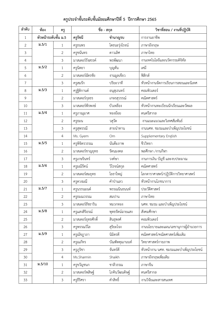| ลำดับ          | ท้อง                 | ครู            | ชื่อ - สกุล        |                 | วิชาที่สอน / งานที่ปฏิบัติ            |
|----------------|----------------------|----------------|--------------------|-----------------|---------------------------------------|
| $\mathbf{1}$   | หัวหน้าระดับชั้น ม.5 |                | ครูรัชนี           | ชำนาญรบ         | การงานอาชีพ                           |
| 2              | 31.5/1               | 1              | ครูธนพร            | โตธนะรุ่งโรจน์  | ภาษาอังกฤษ                            |
| 3              |                      | $\overline{2}$ | ครูชนันทร          | ดาวเลิศ         | ภาษาไทย                               |
| $\overline{4}$ |                      | $\mathfrak{Z}$ | มาสเตอร์รังสรรค์   | พรพัฒนา         | งานเทคโนโลยีและนวัตกรรมดิจิทัล        |
| 5              | ม.5/2                | 1              | ครูนิตยา           | บุญตัน          | เคมี                                  |
| 6              |                      | $\overline{2}$ | มาสเตอร์ฉัตรชัย    | งานมูลเขียว     | ฟิสิกส์                               |
| 7              |                      | 3              | ครูสมรัก           | ปริยะวาที       | หัวหน้างานจัดการเรียนการสอนและนิเทศ   |
| $\,8\,$        | 31.5/3               | 1              | ครูฐิติกานต์       | อนุสุเรนทร์     | คอมพิวเตอร์                           |
| 9              |                      | $\overline{2}$ | มาสเตอร์กุลธร      | เกษรสุวรรณ์     | คณิตศาสตร์                            |
| 10             |                      | 3              | มาสเตอร์พีรพงษ์    | บัวเหลือง       | หัวหน้างานทะเบียนนักเรียนและวัดผล     |
| 11             | 31.5/4               | $\mathbf{1}$   | ครูภาณุมาศ         | ทองย้อย         | ดนตรีสากล                             |
| 12             |                      | $\overline{2}$ | ครูธมน             | วสุวัต          | งานแนะแนวและวิเทศสัมพันธ์             |
| 13             |                      | 3              | ครูสุพรรณี         | สายนำทาน        | งานนศท. ชมรมและบำเพ็ญประโยชน์         |
| 14             |                      | 4              | Ms. Gyem           | Om              | Supplementary English                 |
| 15             | ม.5/5                | 1              | ครูพิจิตรวรรณ      | นันต๊ะภาพ       | ชีววิทยา                              |
| 16             |                      | $\overline{2}$ | มาสเตอร์ชาญยุทธ    | รัตนมงคล        | พลศึกษา /งานกีฬา                      |
| 17             |                      | $\mathfrak{Z}$ | ครูเกษรินทร์       | วงค์ษา          | งานการเงิน บัญชี และงบประมาณ          |
| 18             | 31.5/6               | $\mathbf{1}$   | ครูมณีรัตน์        | วิโรจน์สกุล     | คณิตศาสตร์                            |
| 19             |                      | $\mathbf{2}$   | มาสเตอร์สมยุทธ     | โยธาใหญ่        | โลกดาราศาสตร์/ปฏิบัติการวิทยาศาสตร์   |
| 20             |                      | 3              | ครูดวงมณี          | คำป่าแลว        | หัวหน้างานโภชนาการ                    |
| 21             | ม.5/7                | 1              | ครูนรรนมนต์        | พรรณนินธนนท์    | ประวัติศาสตร์                         |
| 22             |                      | $\overline{2}$ | ครูธมณวรรณ         | สมปาน           | ภาษาไทย                               |
| 23             |                      | 3              | มาสเตอร์ธัชธาริน   | หมวกทอง         | นศท. ชมรม และบำเพ็ญประโยชน์           |
| 24             | 31.5/8               | 1              | ครูแสงสิริอรณ์     | พุทธรัตน์ฉายแสง | สังคมศึกษา                            |
| 25             |                      | $\mathbf{2}$   | มาสเตอร์ยุทธศักดิ์ | สินธุพงศ์       | คอมพิวเตอร์                           |
| 26             |                      | 3              | ครูพรรณวิไล        | สุริยะโจง       | งานนโยบายและแผน/เลขานุการผู้อำนวยการ  |
| 27             | 31.5/9               | 1              | ครูณัชฎาภา         | นิมิตรดี        | คณิตศาสตร์/คณิตศาสตร์เพิ่มเติม        |
| 28             |                      | $\overline{2}$ | ครูณภัทร           | บัณฑิตคุณานนท์  | วิทยาศาสตร์กายภาพ                     |
| 29             |                      | 3              | ครูภูริชา          | จันทร์ดี        | หัวหน้างาน นศท. ชมรมและบำเพ็ญประโยชน์ |
| 30             |                      | 4              | Ms.Sharmin         | Shaikh          | ภาษาอังกฤษเพิ่มเติม                   |
| 31             | 3.5/10               | 1              | ครูขวัญชนก         | ชาลีวรรณ        | ภาษาจีน                               |
| 32             |                      | $\mathbf{2}$   | มาสเตอร์พสิษฐ์     | โภคินวัฒนดิษฐ์  | ดนตรีสากล                             |
| 33             |                      | 3              | ครูธีริศรา         | คำสิทธิ์        | งานวิจัยและสารสนเทศ                   |

**ÙøĎðøąÝĞćßĆĚîøąéĆïßĆĚîöĆí÷öýċÖþćðŘìĊęǰ5 ðŘÖćøýċÖþćǰ2565**